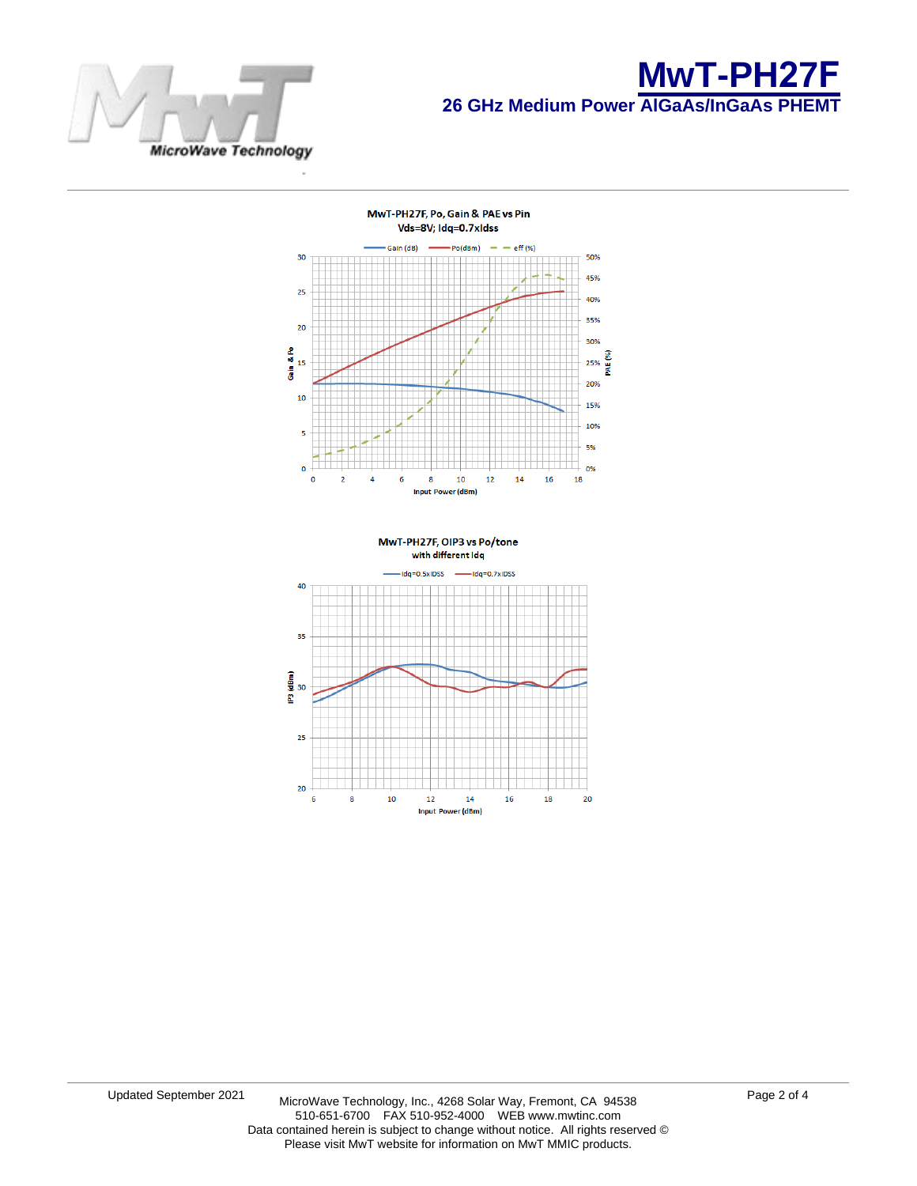



20



20

6

8

 $\overline{10}$ 

 $12$ 

 $14$ 

Input Power (dBm)

16

18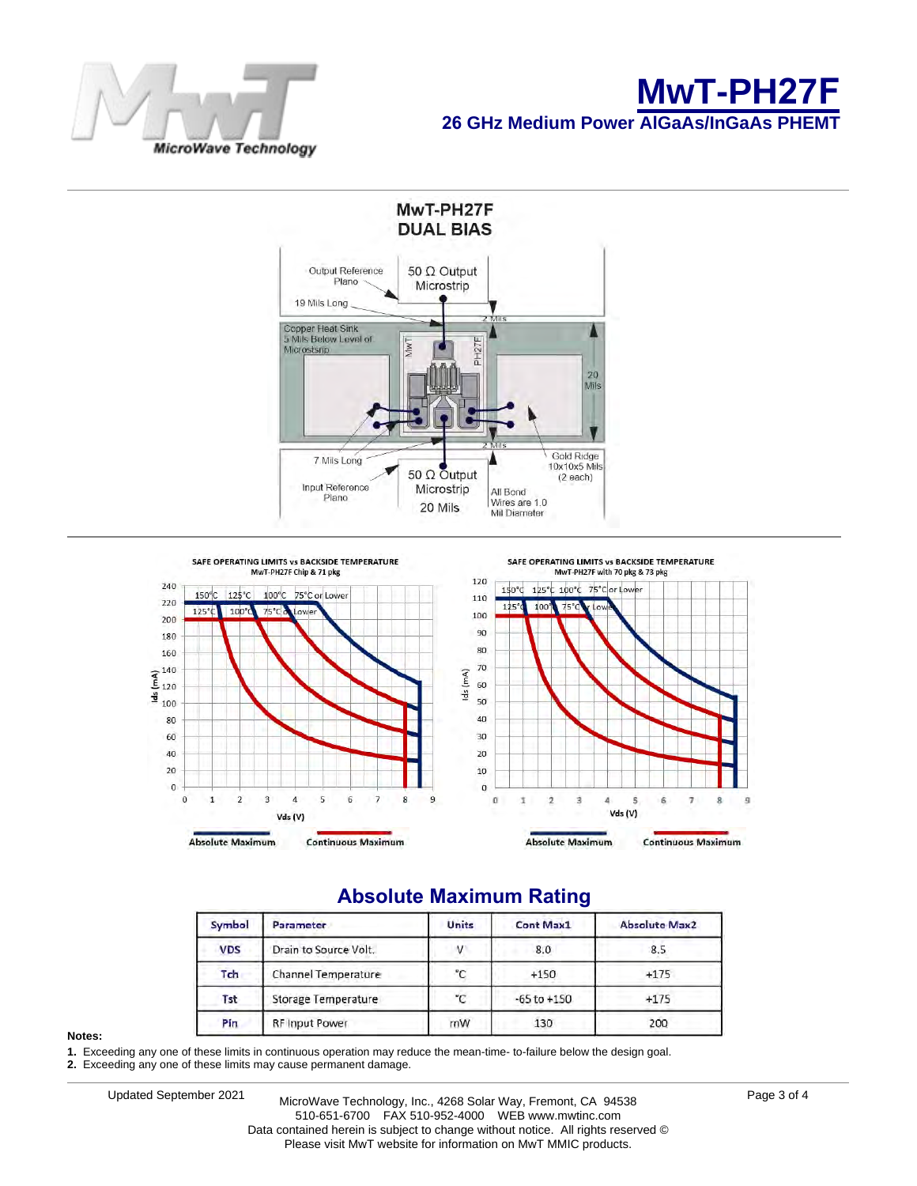





# **Absolute Maximum Rating**

| Symbol     | <b>Parameter</b>      | <b>Units</b> | <b>Cont Max1</b> | <b>Absolute Max2</b> |
|------------|-----------------------|--------------|------------------|----------------------|
| <b>VDS</b> | Drain to Source Volt. | $\lambda$    | 8.0              | 8.5                  |
| Tch        | Channel Temperature   | °C           | $+150$           | $+175$               |
| Tst        | Storage Temperature   | $^{\circ}C$  | $-65$ to $+150$  | $+175$               |
| Pin        | <b>RF Input Power</b> | mW           | 130              | 200                  |

#### **Notes:**

**1.** Exceeding any one of these limits in continuous operation may reduce the mean-time- to-failure below the design goal.

**2.** Exceeding any one of these limits may cause permanent damage.